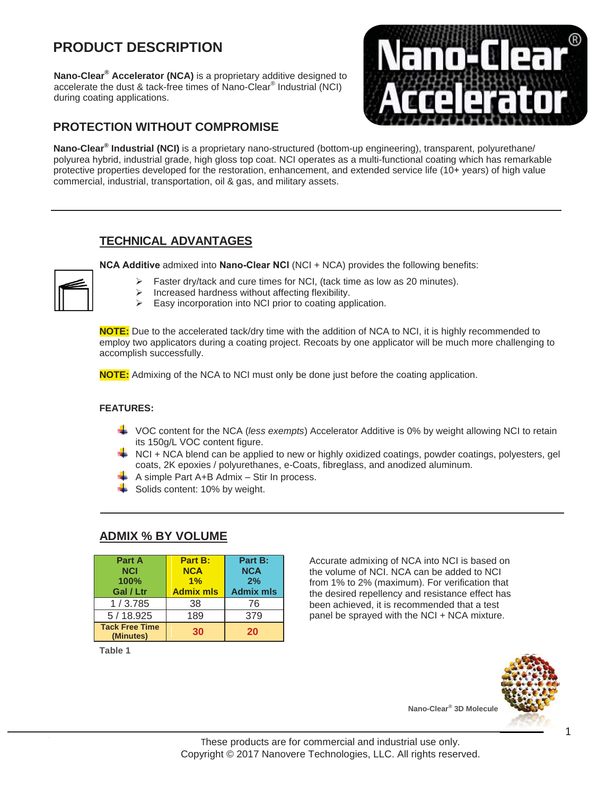# **PRODUCT DESCRIPTION**

**Nano-Clear® Accelerator (NCA)** is a proprietary additive designed to accelerate the dust & tack-free times of Nano-Clear® Industrial (NCI) during coating applications.

## **PROTECTION WITHOUT COMPROMISE**



**Nano-Clear® Industrial (NCI)** is a proprietary nano-structured (bottom-up engineering), transparent, polyurethane/ polyurea hybrid, industrial grade, high gloss top coat. NCI operates as a multi-functional coating which has remarkable protective properties developed for the restoration, enhancement, and extended service life (10+ years) of high value commercial, industrial, transportation, oil & gas, and military assets.

### **TECHNICAL ADVANTAGES**

**NCA Additive** admixed into **Nano-Clear NCI** (NCI + NCA) provides the following benefits:

- $\triangleright$  Faster dry/tack and cure times for NCI, (tack time as low as 20 minutes).
- increased hardness without affecting flexibility.<br>  $\triangleright$  Easy incorporation into NCI prior to coating and
- Easy incorporation into NCI prior to coating application.

**NOTE:** Due to the accelerated tack/dry time with the addition of NCA to NCI, it is highly recommended to employ two applicators during a coating project. Recoats by one applicator will be much more challenging to accomplish successfully.

**NOTE:** Admixing of the NCA to NCI must only be done just before the coating application.

#### **FEATURES:**

- VOC content for the NCA (*less exempts*) Accelerator Additive is 0% by weight allowing NCI to retain its 150g/L VOC content figure.
- **►** NCI + NCA blend can be applied to new or highly oxidized coatings, powder coatings, polyesters, gel coats, 2K epoxies / polyurethanes, e-Coats, fibreglass, and anodized aluminum.
- $\frac{1}{\sqrt{1}}$  A simple Part A+B Admix Stir In process.
- $\frac{1}{2}$  Solids content: 10% by weight.

| Part A<br><b>NCI</b><br>100%<br>Gal / Ltr | Part B:<br><b>NCA</b><br>1%<br><b>Admix mls</b> | Part B:<br><b>NCA</b><br>2%<br><b>Admix mls</b> |
|-------------------------------------------|-------------------------------------------------|-------------------------------------------------|
| 1/3.785                                   | 38                                              | 76                                              |
| 5/18.925                                  | 189                                             | 379                                             |
| <b>Tack Free Time</b><br>(Minutes)        | 30                                              | 20                                              |

### **ADMIX % BY VOLUME**

**Table 1**

Accurate admixing of NCA into NCI is based on the volume of NCI. NCA can be added to NCI from 1% to 2% (maximum). For verification that the desired repellency and resistance effect has been achieved, it is recommended that a test panel be sprayed with the NCI + NCA mixture.



**Nano-Clear® 3D Molecule**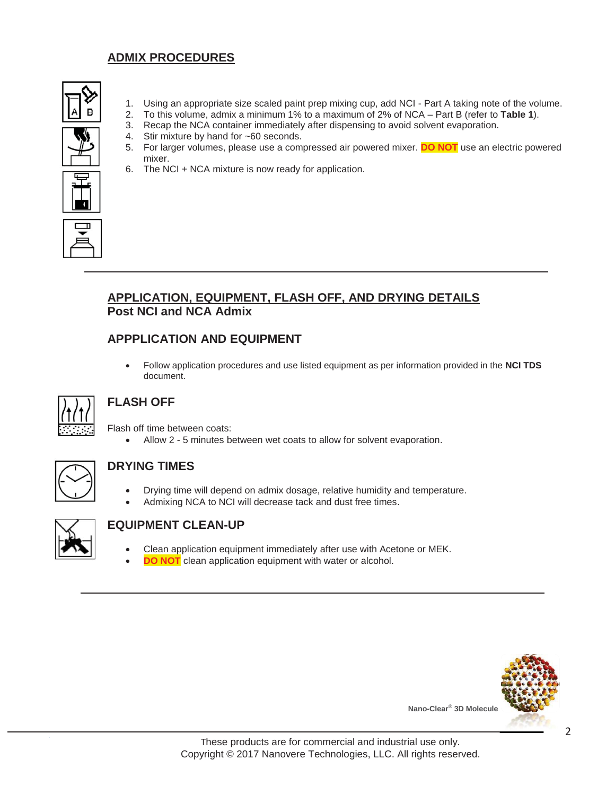## **ADMIX PROCEDURES**



- 1. Using an appropriate size scaled paint prep mixing cup, add NCI Part A taking note of the volume.
- 2. To this volume, admix a minimum 1% to a maximum of 2% of NCA Part B (refer to **Table 1**).
- 3. Recap the NCA container immediately after dispensing to avoid solvent evaporation.
- 4. Stir mixture by hand for ~60 seconds.
- 5. For larger volumes, please use a compressed air powered mixer. **DO NOT** use an electric powered mixer.
- 6. The NCI + NCA mixture is now ready for application.



### **APPLICATION, EQUIPMENT, FLASH OFF, AND DRYING DETAILS Post NCI and NCA Admix**

### **APPPLICATION AND EQUIPMENT**

x Follow application procedures and use listed equipment as per information provided in the **NCI TDS** document.



## **FLASH OFF**

Flash off time between coats:

• Allow 2 - 5 minutes between wet coats to allow for solvent evaporation.



#### **DRYING TIMES**

- Drying time will depend on admix dosage, relative humidity and temperature.
- Admixing NCA to NCI will decrease tack and dust free times.



#### **EQUIPMENT CLEAN-UP**

- Clean application equipment immediately after use with Acetone or MEK.
- **DO NOT** clean application equipment with water or alcohol.



**Nano-Clear® 3D Molecule**